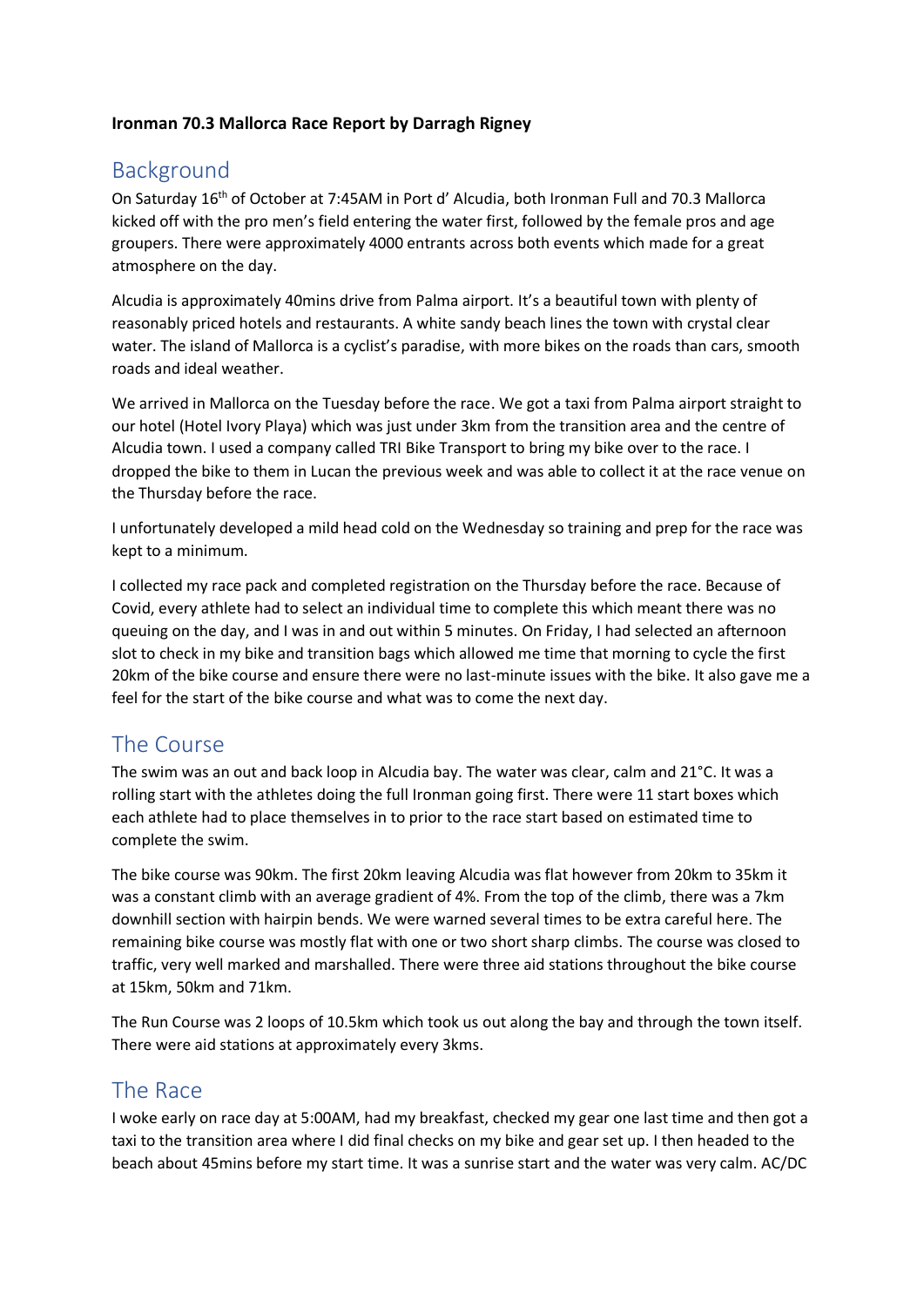## **Ironman 70.3 Mallorca Race Report by Darragh Rigney**

## Background

On Saturday 16th of October at 7:45AM in Port d' Alcudia, both Ironman Full and 70.3 Mallorca kicked off with the pro men's field entering the water first, followed by the female pros and age groupers. There were approximately 4000 entrants across both events which made for a great atmosphere on the day.

Alcudia is approximately 40mins drive from Palma airport. It's a beautiful town with plenty of reasonably priced hotels and restaurants. A white sandy beach lines the town with crystal clear water. The island of Mallorca is a cyclist's paradise, with more bikes on the roads than cars, smooth roads and ideal weather.

We arrived in Mallorca on the Tuesday before the race. We got a taxi from Palma airport straight to our hotel (Hotel Ivory Playa) which was just under 3km from the transition area and the centre of Alcudia town. I used a company called TRI Bike Transport to bring my bike over to the race. I dropped the bike to them in Lucan the previous week and was able to collect it at the race venue on the Thursday before the race.

I unfortunately developed a mild head cold on the Wednesday so training and prep for the race was kept to a minimum.

I collected my race pack and completed registration on the Thursday before the race. Because of Covid, every athlete had to select an individual time to complete this which meant there was no queuing on the day, and I was in and out within 5 minutes. On Friday, I had selected an afternoon slot to check in my bike and transition bags which allowed me time that morning to cycle the first 20km of the bike course and ensure there were no last-minute issues with the bike. It also gave me a feel for the start of the bike course and what was to come the next day.

## The Course

The swim was an out and back loop in Alcudia bay. The water was clear, calm and 21°C. It was a rolling start with the athletes doing the full Ironman going first. There were 11 start boxes which each athlete had to place themselves in to prior to the race start based on estimated time to complete the swim.

The bike course was 90km. The first 20km leaving Alcudia was flat however from 20km to 35km it was a constant climb with an average gradient of 4%. From the top of the climb, there was a 7km downhill section with hairpin bends. We were warned several times to be extra careful here. The remaining bike course was mostly flat with one or two short sharp climbs. The course was closed to traffic, very well marked and marshalled. There were three aid stations throughout the bike course at 15km, 50km and 71km.

The Run Course was 2 loops of 10.5km which took us out along the bay and through the town itself. There were aid stations at approximately every 3kms.

## The Race

I woke early on race day at 5:00AM, had my breakfast, checked my gear one last time and then got a taxi to the transition area where I did final checks on my bike and gear set up. I then headed to the beach about 45mins before my start time. It was a sunrise start and the water was very calm. AC/DC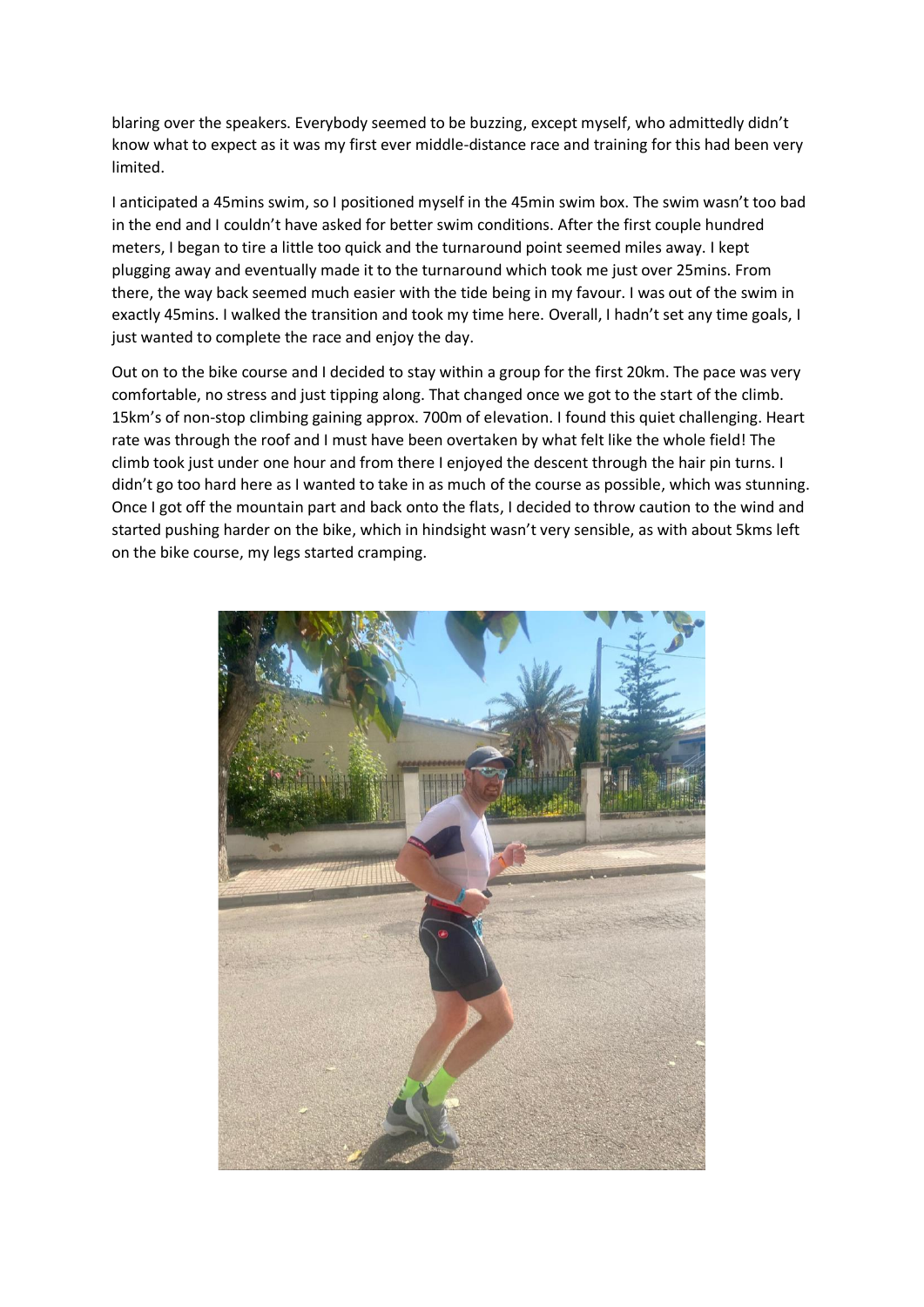blaring over the speakers. Everybody seemed to be buzzing, except myself, who admittedly didn't know what to expect as it was my first ever middle-distance race and training for this had been very limited.

I anticipated a 45mins swim, so I positioned myself in the 45min swim box. The swim wasn't too bad in the end and I couldn't have asked for better swim conditions. After the first couple hundred meters, I began to tire a little too quick and the turnaround point seemed miles away. I kept plugging away and eventually made it to the turnaround which took me just over 25mins. From there, the way back seemed much easier with the tide being in my favour. I was out of the swim in exactly 45mins. I walked the transition and took my time here. Overall, I hadn't set any time goals, I just wanted to complete the race and enjoy the day.

Out on to the bike course and I decided to stay within a group for the first 20km. The pace was very comfortable, no stress and just tipping along. That changed once we got to the start of the climb. 15km's of non-stop climbing gaining approx. 700m of elevation. I found this quiet challenging. Heart rate was through the roof and I must have been overtaken by what felt like the whole field! The climb took just under one hour and from there I enjoyed the descent through the hair pin turns. I didn't go too hard here as I wanted to take in as much of the course as possible, which was stunning. Once I got off the mountain part and back onto the flats, I decided to throw caution to the wind and started pushing harder on the bike, which in hindsight wasn't very sensible, as with about 5kms left on the bike course, my legs started cramping.